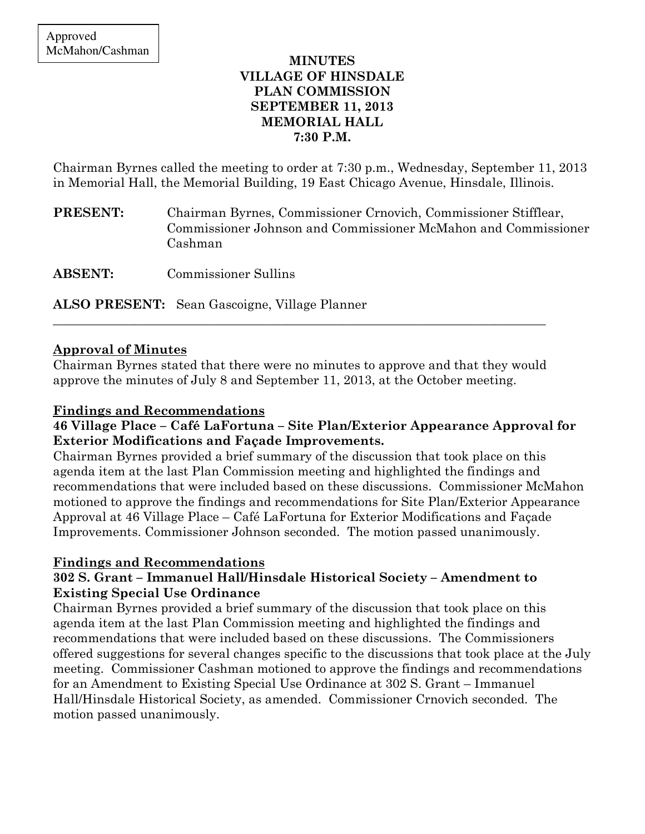## MINUTES VILLAGE OF HINSDALE PLAN COMMISSION SEPTEMBER 11, 2013 MEMORIAL HALL 7:30 P.M.

Chairman Byrnes called the meeting to order at 7:30 p.m., Wednesday, September 11, 2013 in Memorial Hall, the Memorial Building, 19 East Chicago Avenue, Hinsdale, Illinois.

PRESENT: Chairman Byrnes, Commissioner Crnovich, Commissioner Stifflear, Commissioner Johnson and Commissioner McMahon and Commissioner Cashman

ABSENT: Commissioner Sullins

ALSO PRESENT: Sean Gascoigne, Village Planner

# Approval of Minutes

Chairman Byrnes stated that there were no minutes to approve and that they would approve the minutes of July 8 and September 11, 2013, at the October meeting.

\_\_\_\_\_\_\_\_\_\_\_\_\_\_\_\_\_\_\_\_\_\_\_\_\_\_\_\_\_\_\_\_\_\_\_\_\_\_\_\_\_\_\_\_\_\_\_\_\_\_\_\_\_\_\_\_\_\_\_\_\_\_\_\_\_\_\_\_\_\_\_\_\_\_\_\_\_\_

## Findings and Recommendations

# 46 Village Place – Café LaFortuna – Site Plan/Exterior Appearance Approval for Exterior Modifications and Façade Improvements.

Chairman Byrnes provided a brief summary of the discussion that took place on this agenda item at the last Plan Commission meeting and highlighted the findings and recommendations that were included based on these discussions. Commissioner McMahon motioned to approve the findings and recommendations for Site Plan/Exterior Appearance Approval at 46 Village Place – Café LaFortuna for Exterior Modifications and Façade Improvements. Commissioner Johnson seconded. The motion passed unanimously.

# Findings and Recommendations

# 302 S. Grant – Immanuel Hall/Hinsdale Historical Society – Amendment to Existing Special Use Ordinance

Chairman Byrnes provided a brief summary of the discussion that took place on this agenda item at the last Plan Commission meeting and highlighted the findings and recommendations that were included based on these discussions. The Commissioners offered suggestions for several changes specific to the discussions that took place at the July meeting. Commissioner Cashman motioned to approve the findings and recommendations for an Amendment to Existing Special Use Ordinance at 302 S. Grant – Immanuel Hall/Hinsdale Historical Society, as amended. Commissioner Crnovich seconded. The motion passed unanimously.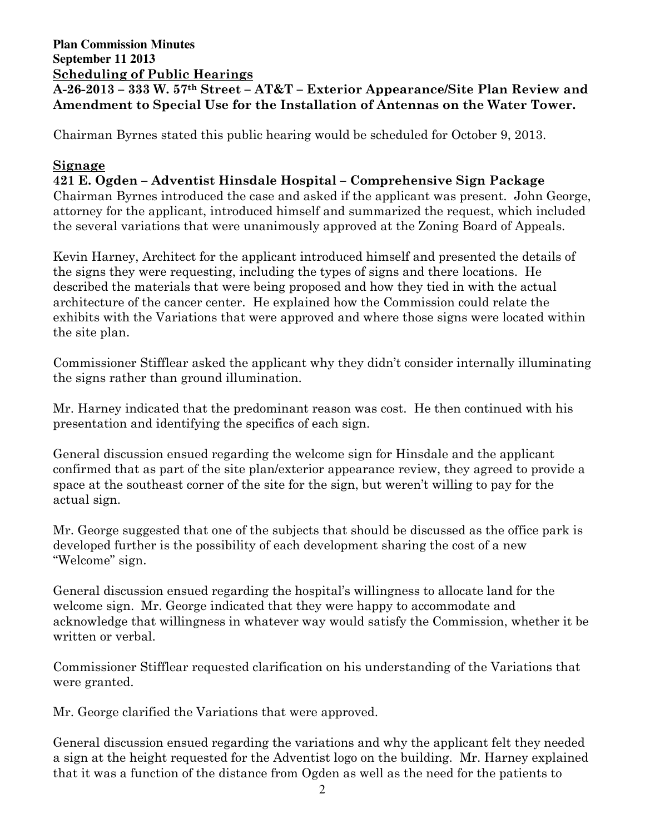## **Plan Commission Minutes September 11 2013**  Scheduling of Public Hearings A-26-2013 – 333 W. 57th Street – AT&T – Exterior Appearance/Site Plan Review and Amendment to Special Use for the Installation of Antennas on the Water Tower.

Chairman Byrnes stated this public hearing would be scheduled for October 9, 2013.

## Signage

### 421 E. Ogden – Adventist Hinsdale Hospital – Comprehensive Sign Package

Chairman Byrnes introduced the case and asked if the applicant was present. John George, attorney for the applicant, introduced himself and summarized the request, which included the several variations that were unanimously approved at the Zoning Board of Appeals.

Kevin Harney, Architect for the applicant introduced himself and presented the details of the signs they were requesting, including the types of signs and there locations. He described the materials that were being proposed and how they tied in with the actual architecture of the cancer center. He explained how the Commission could relate the exhibits with the Variations that were approved and where those signs were located within the site plan.

Commissioner Stifflear asked the applicant why they didn't consider internally illuminating the signs rather than ground illumination.

Mr. Harney indicated that the predominant reason was cost. He then continued with his presentation and identifying the specifics of each sign.

General discussion ensued regarding the welcome sign for Hinsdale and the applicant confirmed that as part of the site plan/exterior appearance review, they agreed to provide a space at the southeast corner of the site for the sign, but weren't willing to pay for the actual sign.

Mr. George suggested that one of the subjects that should be discussed as the office park is developed further is the possibility of each development sharing the cost of a new "Welcome" sign.

General discussion ensued regarding the hospital's willingness to allocate land for the welcome sign. Mr. George indicated that they were happy to accommodate and acknowledge that willingness in whatever way would satisfy the Commission, whether it be written or verbal.

Commissioner Stifflear requested clarification on his understanding of the Variations that were granted.

Mr. George clarified the Variations that were approved.

General discussion ensued regarding the variations and why the applicant felt they needed a sign at the height requested for the Adventist logo on the building. Mr. Harney explained that it was a function of the distance from Ogden as well as the need for the patients to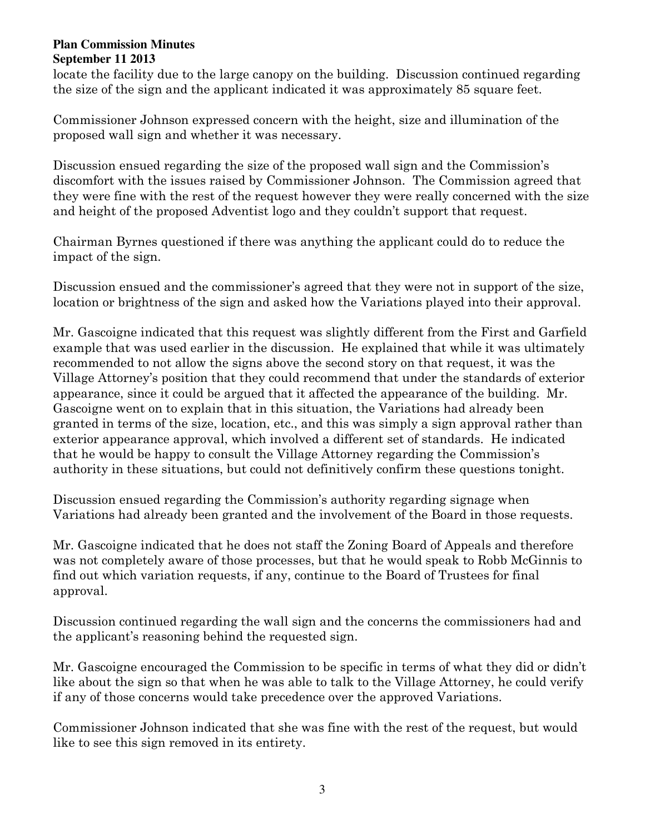#### **Plan Commission Minutes September 11 2013**

locate the facility due to the large canopy on the building. Discussion continued regarding the size of the sign and the applicant indicated it was approximately 85 square feet.

Commissioner Johnson expressed concern with the height, size and illumination of the proposed wall sign and whether it was necessary.

Discussion ensued regarding the size of the proposed wall sign and the Commission's discomfort with the issues raised by Commissioner Johnson. The Commission agreed that they were fine with the rest of the request however they were really concerned with the size and height of the proposed Adventist logo and they couldn't support that request.

Chairman Byrnes questioned if there was anything the applicant could do to reduce the impact of the sign.

Discussion ensued and the commissioner's agreed that they were not in support of the size, location or brightness of the sign and asked how the Variations played into their approval.

Mr. Gascoigne indicated that this request was slightly different from the First and Garfield example that was used earlier in the discussion. He explained that while it was ultimately recommended to not allow the signs above the second story on that request, it was the Village Attorney's position that they could recommend that under the standards of exterior appearance, since it could be argued that it affected the appearance of the building. Mr. Gascoigne went on to explain that in this situation, the Variations had already been granted in terms of the size, location, etc., and this was simply a sign approval rather than exterior appearance approval, which involved a different set of standards. He indicated that he would be happy to consult the Village Attorney regarding the Commission's authority in these situations, but could not definitively confirm these questions tonight.

Discussion ensued regarding the Commission's authority regarding signage when Variations had already been granted and the involvement of the Board in those requests.

Mr. Gascoigne indicated that he does not staff the Zoning Board of Appeals and therefore was not completely aware of those processes, but that he would speak to Robb McGinnis to find out which variation requests, if any, continue to the Board of Trustees for final approval.

Discussion continued regarding the wall sign and the concerns the commissioners had and the applicant's reasoning behind the requested sign.

Mr. Gascoigne encouraged the Commission to be specific in terms of what they did or didn't like about the sign so that when he was able to talk to the Village Attorney, he could verify if any of those concerns would take precedence over the approved Variations.

Commissioner Johnson indicated that she was fine with the rest of the request, but would like to see this sign removed in its entirety.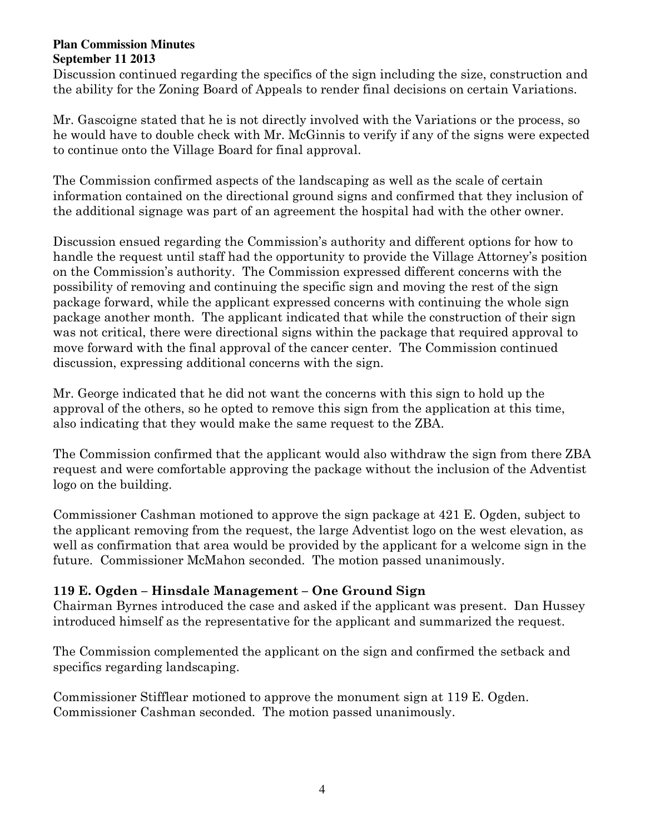#### **Plan Commission Minutes September 11 2013**

Discussion continued regarding the specifics of the sign including the size, construction and the ability for the Zoning Board of Appeals to render final decisions on certain Variations.

Mr. Gascoigne stated that he is not directly involved with the Variations or the process, so he would have to double check with Mr. McGinnis to verify if any of the signs were expected to continue onto the Village Board for final approval.

The Commission confirmed aspects of the landscaping as well as the scale of certain information contained on the directional ground signs and confirmed that they inclusion of the additional signage was part of an agreement the hospital had with the other owner.

Discussion ensued regarding the Commission's authority and different options for how to handle the request until staff had the opportunity to provide the Village Attorney's position on the Commission's authority. The Commission expressed different concerns with the possibility of removing and continuing the specific sign and moving the rest of the sign package forward, while the applicant expressed concerns with continuing the whole sign package another month. The applicant indicated that while the construction of their sign was not critical, there were directional signs within the package that required approval to move forward with the final approval of the cancer center. The Commission continued discussion, expressing additional concerns with the sign.

Mr. George indicated that he did not want the concerns with this sign to hold up the approval of the others, so he opted to remove this sign from the application at this time, also indicating that they would make the same request to the ZBA.

The Commission confirmed that the applicant would also withdraw the sign from there ZBA request and were comfortable approving the package without the inclusion of the Adventist logo on the building.

Commissioner Cashman motioned to approve the sign package at 421 E. Ogden, subject to the applicant removing from the request, the large Adventist logo on the west elevation, as well as confirmation that area would be provided by the applicant for a welcome sign in the future. Commissioner McMahon seconded. The motion passed unanimously.

# 119 E. Ogden – Hinsdale Management – One Ground Sign

Chairman Byrnes introduced the case and asked if the applicant was present. Dan Hussey introduced himself as the representative for the applicant and summarized the request.

The Commission complemented the applicant on the sign and confirmed the setback and specifics regarding landscaping.

Commissioner Stifflear motioned to approve the monument sign at 119 E. Ogden. Commissioner Cashman seconded. The motion passed unanimously.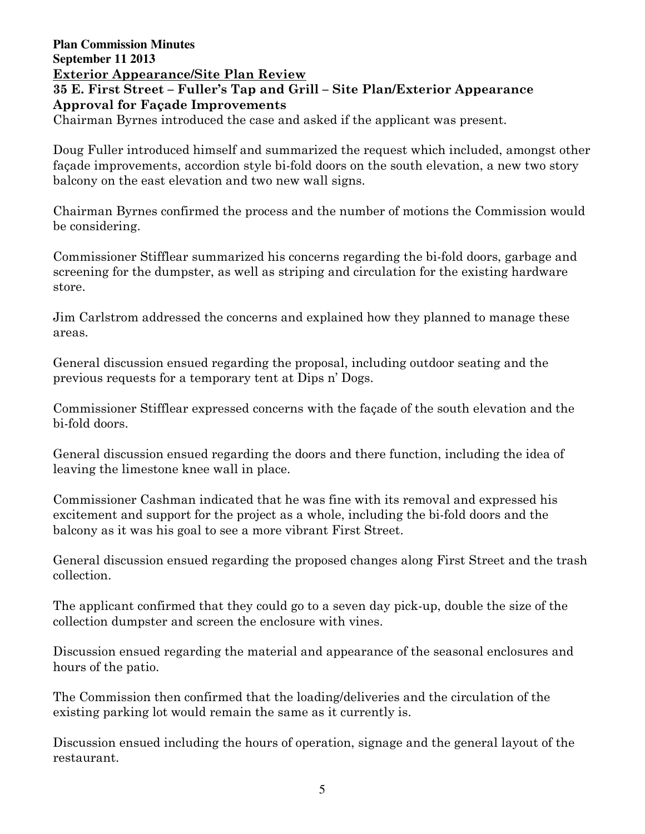## **Plan Commission Minutes September 11 2013**  Exterior Appearance/Site Plan Review 35 E. First Street – Fuller's Tap and Grill – Site Plan/Exterior Appearance Approval for Façade Improvements Chairman Byrnes introduced the case and asked if the applicant was present.

Doug Fuller introduced himself and summarized the request which included, amongst other façade improvements, accordion style bi-fold doors on the south elevation, a new two story balcony on the east elevation and two new wall signs.

Chairman Byrnes confirmed the process and the number of motions the Commission would be considering.

Commissioner Stifflear summarized his concerns regarding the bi-fold doors, garbage and screening for the dumpster, as well as striping and circulation for the existing hardware store.

Jim Carlstrom addressed the concerns and explained how they planned to manage these areas.

General discussion ensued regarding the proposal, including outdoor seating and the previous requests for a temporary tent at Dips n' Dogs.

Commissioner Stifflear expressed concerns with the façade of the south elevation and the bi-fold doors.

General discussion ensued regarding the doors and there function, including the idea of leaving the limestone knee wall in place.

Commissioner Cashman indicated that he was fine with its removal and expressed his excitement and support for the project as a whole, including the bi-fold doors and the balcony as it was his goal to see a more vibrant First Street.

General discussion ensued regarding the proposed changes along First Street and the trash collection.

The applicant confirmed that they could go to a seven day pick-up, double the size of the collection dumpster and screen the enclosure with vines.

Discussion ensued regarding the material and appearance of the seasonal enclosures and hours of the patio.

The Commission then confirmed that the loading/deliveries and the circulation of the existing parking lot would remain the same as it currently is.

Discussion ensued including the hours of operation, signage and the general layout of the restaurant.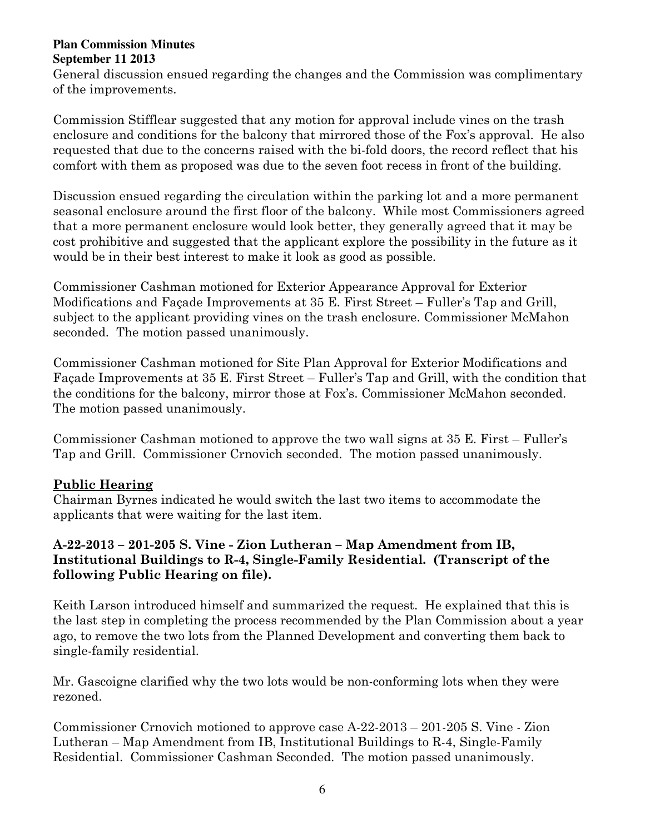#### **Plan Commission Minutes September 11 2013**

General discussion ensued regarding the changes and the Commission was complimentary of the improvements.

Commission Stifflear suggested that any motion for approval include vines on the trash enclosure and conditions for the balcony that mirrored those of the Fox's approval. He also requested that due to the concerns raised with the bi-fold doors, the record reflect that his comfort with them as proposed was due to the seven foot recess in front of the building.

Discussion ensued regarding the circulation within the parking lot and a more permanent seasonal enclosure around the first floor of the balcony. While most Commissioners agreed that a more permanent enclosure would look better, they generally agreed that it may be cost prohibitive and suggested that the applicant explore the possibility in the future as it would be in their best interest to make it look as good as possible.

Commissioner Cashman motioned for Exterior Appearance Approval for Exterior Modifications and Façade Improvements at 35 E. First Street – Fuller's Tap and Grill, subject to the applicant providing vines on the trash enclosure. Commissioner McMahon seconded. The motion passed unanimously.

Commissioner Cashman motioned for Site Plan Approval for Exterior Modifications and Façade Improvements at 35 E. First Street – Fuller's Tap and Grill, with the condition that the conditions for the balcony, mirror those at Fox's. Commissioner McMahon seconded. The motion passed unanimously.

Commissioner Cashman motioned to approve the two wall signs at 35 E. First – Fuller's Tap and Grill. Commissioner Crnovich seconded. The motion passed unanimously.

# Public Hearing

Chairman Byrnes indicated he would switch the last two items to accommodate the applicants that were waiting for the last item.

# A-22-2013 – 201-205 S. Vine - Zion Lutheran – Map Amendment from IB, Institutional Buildings to R-4, Single-Family Residential. (Transcript of the following Public Hearing on file).

Keith Larson introduced himself and summarized the request. He explained that this is the last step in completing the process recommended by the Plan Commission about a year ago, to remove the two lots from the Planned Development and converting them back to single-family residential.

Mr. Gascoigne clarified why the two lots would be non-conforming lots when they were rezoned.

Commissioner Crnovich motioned to approve case A-22-2013 – 201-205 S. Vine - Zion Lutheran – Map Amendment from IB, Institutional Buildings to R-4, Single-Family Residential. Commissioner Cashman Seconded. The motion passed unanimously.